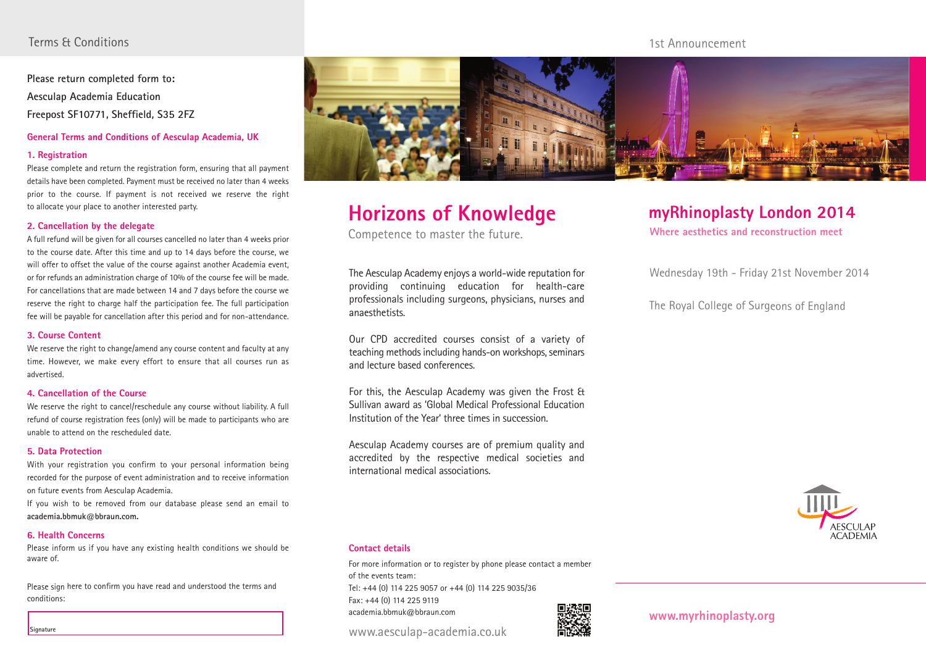### Terms & Conditions

**Please return completed form to: Aesculap Academia Education Freepost SF10771, Sheffield, S35 2FZ**

#### **General Terms and Conditions of Aesculap Academia, UK**

#### **1. Registration**

Please complete and return the registration form, ensuring that all payment details have been completed. Payment must be received no later than 4 weeks prior to the course. If payment is not received we reserve the right to allocate your place to another interested party.

#### **2. Cancellation by the delegate**

A full refund will be given for all courses cancelled no later than 4 weeks prior to the course date. After this time and up to 14 days before the course, we will offer to offset the value of the course against another Academia event, or for refunds an administration charge of 10% of the course fee will be made. For cancellations that are made between 14 and 7 days before the course we reserve the right to charge half the participation fee. The full participation fee will be payable for cancellation after this period and for non-attendance.

#### **3. Course Content**

We reserve the right to change/amend any course content and faculty at any time. However, we make every effort to ensure that all courses run as advertised.

#### **4. Cancellation of the Course**

We reserve the right to cancel/reschedule any course without liability. A full refund of course registration fees (only) will be made to participants who are unable to attend on the rescheduled date.

#### **5. Data Protection**

With your registration you confirm to your personal information being recorded for the purpose of event administration and to receive information on future events from Aesculap Academia.

If you wish to be removed from our database please send an email to **academia.bbmuk@bbraun.com.** 

#### **6. Health Concerns**

Please inform us if you have any existing health conditions we should be aware of.

Please sign here to confirm you have read and understood the terms and conditions:



# **Horizons of Knowledge**

Competence to master the future.

The Aesculap Academy enjoys a world-wide reputation for providing continuing education for health-care professionals including surgeons, physicians, nurses and anaesthetists.

Our CPD accredited courses consist of a variety of teaching methods including hands-on workshops, seminars and lecture based conferences.

For this, the Aesculap Academy was given the Frost & Sullivan award as 'Global Medical Professional Education Institution of the Year' three times in succession.

Aesculap Academy courses are of premium quality and accredited by the respective medical societies and international medical associations.

## **myRhinoplasty London 2014**

**Where aesthetics and reconstruction meet**

1st Announcement

Wednesday 19th - Friday 21st November 2014

The Royal College of Surgeons of England



#### **Contact details**

For more information or to register by phone please contact a member of the events team: Tel: +44 (0) 114 225 9057 or +44 (0) 114 225 9035/36 Fax: +44 (0) 114 225 9119 academia.bbmuk@bbraun.com

www.aesculap-academia.co.uk



**www.myrhinoplasty.org**

**Signature**